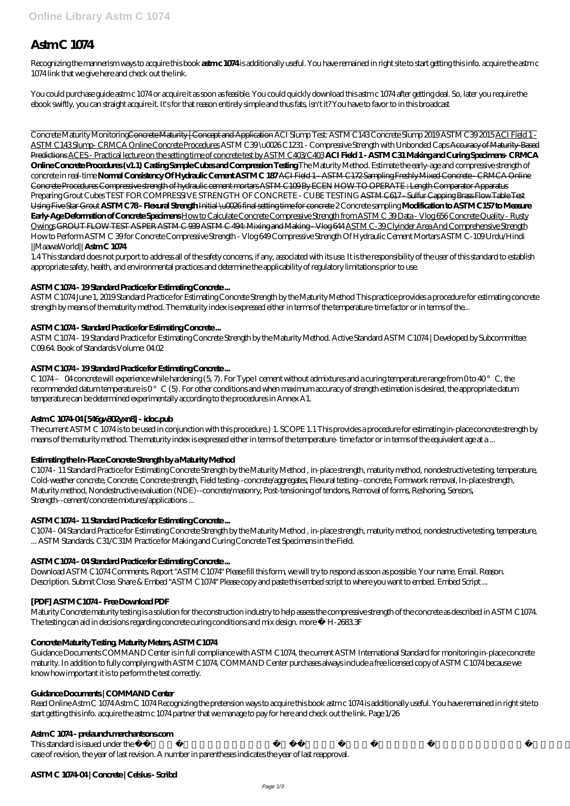# **Astm C 1074**

Recognizing the mannerism ways to acquire this book **astm c 1074** is additionally useful. You have remained in right site to start getting this info. acquire the astm c 1074 link that we give here and check out the link.

You could purchase guide astm c 1074 or acquire it as soon as feasible. You could quickly download this astm c 1074 after getting deal. So, later you require the ebook swiftly, you can straight acquire it. It's for that reason entirely simple and thus fats, isn't it? You have to favor to in this broadcast

Concrete Maturity MonitoringConcrete Maturity | Concept and Application *ACI Slump Test: ASTM C143 Concrete Slump 2019 ASTM C39 2015* ACI Field 1 - ASTM C143 Slump- CRMCA Online Concrete Procedures *ASTM C39 \u0026 C1231 - Compressive Strength with Unbonded Caps* Accuracy of Maturity-Based Predictions ACES - Practical lecture on the setting time of concrete test by ASTM C403/C403 **ACI Field 1 - ASTM C31 Making and Curing Specimens- CRMCA Online Concrete Procedures (v1.1) Casting Sample Cubes and Compression Testing** *The Maturity Method. Estimate the early-age and compressive strength of concrete in real-time* **Normal Consistency Of Hydraulic Cement ASTM C 187** ACI Field 1 - ASTM C172 Sampling Freshly Mixed Concrete - CRMCA Online Concrete Procedures Compressive strength of hydraulic cement mortars ASTM C109 By ECEN HOW TO OPERATE : Length Comparator Apparatus *Preparing Grout Cubes TEST FOR COMPRESSIVE STRENGTH OF CONCRETE - CUBE TESTING* ASTM C617 - Sulfur Capping Brass Flow Table Test Using Five Star Grout **ASTM C78 - Flexural Strength** Initial \u0026 final setting time for concrete *2 Concrete sampling* **Modification to ASTM C157 to Measure Early-Age Deformation of Concrete Specimens** How to Calculate Concrete Compressive Strength from ASTM C 39 Data - Vlog 656 Concrete Quality - Rusty Owings GROUT FLOW TEST AS PER ASTM C 939 ASTM C 494: Mixing and Making - Vlog 644 ASTM C-39 Clyinder Area And Comprehensive Strength *How to Perform ASTM C 39 for Concrete Compressive Strength - Vlog 649* Compressive Strength Of Hydraulic Cement Mortars ASTM C-109 Urdu/Hindi ||MaawaWorld|| **Astm C 1074**

C 1074 – 04 concrete will experience while hardening  $(5, 7)$ . For Type I cement without admixtures and a curing temperature range from 0 to  $40^{\circ}$  C, the recommended datum temperature is 0°C (5). For other conditions and when maximum accuracy of strength estimation is desired, the appropriate datum temperature can be determined experimentally according to the procedures in Annex A1.

1.4 This standard does not purport to address all of the safety concerns, if any, associated with its use. It is the responsibility of the user of this standard to establish appropriate safety, health, and environmental practices and determine the applicability of regulatory limitations prior to use.

#### **ASTM C1074 - 19 Standard Practice for Estimating Concrete ...**

ASTM C1074 June 1, 2019 Standard Practice for Estimating Concrete Strength by the Maturity Method This practice provides a procedure for estimating concrete strength by means of the maturity method. The maturity index is expressed either in terms of the temperature-time factor or in terms of the...

#### **ASTM C1074 - Standard Practice for Estimating Concrete ...**

ASTM C1074 - 19 Standard Practice for Estimating Concrete Strength by the Maturity Method. Active Standard ASTM C1074 | Developed by Subcommittee: C09.64. Book of Standards Volume: 04.02

## **ASTM C1074 - 19 Standard Practice for Estimating Concrete ...**

#### **Astm C 1074-04 [546gw302yxn8] - idoc.pub**

The current ASTM C 1074 is to be used in conjunction with this procedure.) 1. SCOPE 1.1 This provides a procedure for estimating in-place concrete strength by means of the maturity method. The maturity index is expressed either in terms of the temperature- time factor or in terms of the equivalent age at a ...

## **Estimating the In-Place Concrete Strength by a Maturity Method**

C1074 - 11 Standard Practice for Estimating Concrete Strength by the Maturity Method , in-place strength, maturity method, nondestructive testing, temperature, Cold-weather concrete, Concrete, Concrete strength, Field testing--concrete/aggregates, Flexural testing--concrete, Formwork removal, In-place strength, Maturity method, Nondestructive evaluation (NDE)--concrete/masonry, Post-tensioning of tendons, Removal of forms, Reshoring, Sensors, Strength--cement/concrete mixtures/applications ...

#### **ASTM C1074 - 11 Standard Practice for Estimating Concrete ...**

C1074 - 04 Standard Practice for Estimating Concrete Strength by the Maturity Method , in-place strength, maturity method, nondestructive testing, temperature, ... ASTM Standards. C31/C31M Practice for Making and Curing Concrete Test Specimens in the Field.

## **ASTM C1074 - 04 Standard Practice for Estimating Concrete ...**

Download ASTM C1074 Comments. Report "ASTM C1074" Please fill this form, we will try to respond as soon as possible. Your name. Email. Reason. Description. Submit Close. Share & Embed "ASTM C1074" Please copy and paste this embed script to where you want to embed. Embed Script ...

#### **[PDF] ASTM C1074 - Free Download PDF**

Maturity Concrete maturity testing is a solution for the construction industry to help assess the compressive strength of the concrete as described in ASTM C1074. The testing can aid in decisions regarding concrete curing conditions and mix design. more » H-2683.3F

#### **Concrete Maturity Testing, Maturity Meters, ASTM C1074**

Guidance Documents COMMAND Center is in full compliance with ASTM C1074, the current ASTM International Standard for monitoring in-place concrete maturity. In addition to fully complying with ASTM C1074, COMMAND Center purchases always include a free licensed copy of ASTM C1074 because we know how important it is to perform the test correctly.

#### **Guidance Documents | COMMAND Center**

Read Online Astm C 1074 Astm C 1074 Recognizing the pretension ways to acquire this book astm c 1074 is additionally useful. You have remained in right site to start getting this info. acquire the astm c 1074 partner that we manage to pay for here and check out the link. Page 1/26

#### **Astm C 1074 - prelaunch.merchantsons.com**

This standard is issued under the fixed designation C 1074; the number immediately following the designation indicates the year of original adoption or, in the case of revision, the year of last revision. A number in parentheses indicates the year of last reapproval.

#### **ASTM C 1074-04 | Concrete | Celsius - Scribd**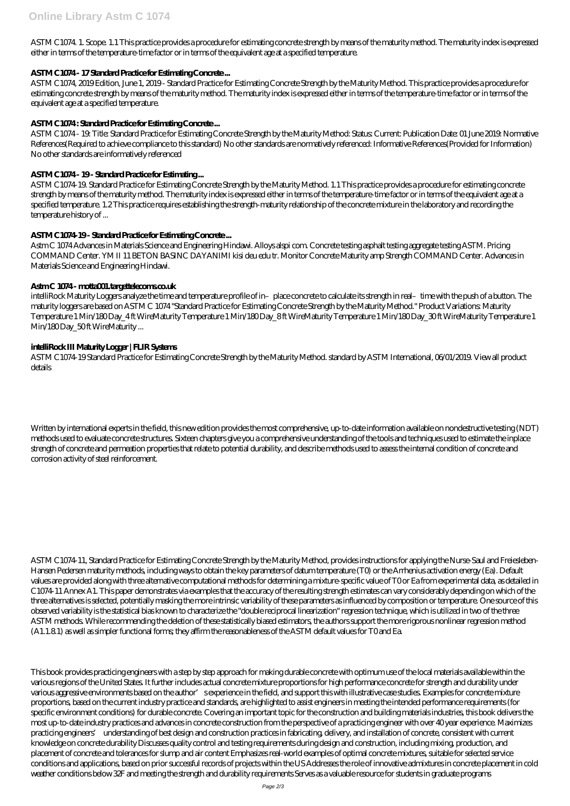ASTM C1074. 1. Scope. 1.1 This practice provides a procedure for estimating concrete strength by means of the maturity method. The maturity index is expressed either in terms of the temperature-time factor or in terms of the equivalent age at a specified temperature.

## **ASTM C1074 - 17 Standard Practice for Estimating Concrete ...**

ASTM C1074, 2019 Edition, June 1, 2019 - Standard Practice for Estimating Concrete Strength by the Maturity Method. This practice provides a procedure for estimating concrete strength by means of the maturity method. The maturity index is expressed either in terms of the temperature-time factor or in terms of the equivalent age at a specified temperature.

## **ASTM C1074 : Standard Practice for Estimating Concrete ...**

ASTM C1074 - 19: Title: Standard Practice for Estimating Concrete Strength by the Maturity Method: Status: Current: Publication Date: 01 June 2019: Normative References(Required to achieve compliance to this standard) No other standards are normatively referenced: Informative References(Provided for Information) No other standards are informatively referenced

intelliRock Maturity Loggers analyze the time and temperature profile of in–place concrete to calculate its strength in real–time with the push of a button. The maturity loggers are based on ASTM C 1074 "Standard Practice for Estimating Concrete Strength by the Maturity Method." Product Variations: Maturity Temperature 1 Min/180 Day\_4 ft WireMaturity Temperature 1 Min/180 Day\_8 ft WireMaturity Temperature 1 Min/180 Day\_30 ft WireMaturity Temperature 1 Min/180 Day\_50 ft WireMaturity ...

## **ASTM C1074 - 19 - Standard Practice for Estimating ...**

ASTM C1074-19. Standard Practice for Estimating Concrete Strength by the Maturity Method. 1.1 This practice provides a procedure for estimating concrete strength by means of the maturity method. The maturity index is expressed either in terms of the temperature-time factor or in terms of the equivalent age at a specified temperature. 1.2 This practice requires establishing the strength-maturity relationship of the concrete mixture in the laboratory and recording the temperature history of ...

# **ASTM C1074-19 - Standard Practice for Estimating Concrete ...**

Astm C 1074 Advances in Materials Science and Engineering Hindawi. Alloys alspi com. Concrete testing asphalt testing aggregate testing ASTM. Pricing COMMAND Center. YM II 11 BETON BASINC DAYANIMI kisi deu edu tr. Monitor Concrete Maturity amp Strength COMMAND Center. Advances in Materials Science and Engineering Hindawi.

# **Astm C 1074 - motta001.targettelecoms.co.uk**

## **intelliRock III Maturity Logger | FLIR Systems**

ASTM C1074-19 Standard Practice for Estimating Concrete Strength by the Maturity Method. standard by ASTM International, 06/01/2019. View all product details

Written by international experts in the field, this new edition provides the most comprehensive, up-to-date information available on nondestructive testing (NDT) methods used to evaluate concrete structures. Sixteen chapters give you a comprehensive understanding of the tools and techniques used to estimate the inplace strength of concrete and permeation properties that relate to potential durability, and describe methods used to assess the internal condition of concrete and corrosion activity of steel reinforcement.

ASTM C1074-11, Standard Practice for Estimating Concrete Strength by the Maturity Method, provides instructions for applying the Nurse-Saul and Freiesleben-Hansen Pedersen maturity methods, including ways to obtain the key parameters of datum temperature (T0) or the Arrhenius activation energy (Ea). Default values are provided along with three alternative computational methods for determining a mixture-specific value of T0 or Ea from experimental data, as detailed in C1074-11 Annex A1. This paper demonstrates via examples that the accuracy of the resulting strength estimates can vary considerably depending on which of the three alternatives is selected, potentially masking the more intrinsic variability of these parameters as influenced by composition or temperature. One source of this observed variability is the statistical bias known to characterize the "double reciprocal linearization" regression technique, which is utilized in two of the three ASTM methods. While recommending the deletion of these statistically biased estimators, the authors support the more rigorous nonlinear regression method (A1.1.8.1) as well as simpler functional forms; they affirm the reasonableness of the ASTM default values for T0 and Ea.

This book provides practicing engineers with a step by step approach for making durable concrete with optimum use of the local materials available within the various regions of the United States. It further includes actual concrete mixture proportions for high performance concrete for strength and durability under various aggressive environments based on the author's experience in the field, and support this with illustrative case studies. Examples for concrete mixture proportions, based on the current industry practice and standards, are highlighted to assist engineers in meeting the intended performance requirements (for specific environment conditions) for durable concrete. Covering an important topic for the construction and building materials industries, this book delivers the most up-to-date industry practices and advances in concrete construction from the perspective of a practicing engineer with over 40 year experience. Maximizes practicing engineers' understanding of best design and construction practices in fabricating, delivery, and installation of concrete, consistent with current knowledge on concrete durability Discusses quality control and testing requirements during design and construction, including mixing, production, and placement of concrete and tolerances for slump and air content Emphasizes real-world examples of optimal concrete mixtures, suitable for selected service conditions and applications, based on prior successful records of projects within the US Addresses the role of innovative admixtures in concrete placement in cold weather conditions below 32F and meeting the strength and durability requirements Serves as a valuable resource for students in graduate programs